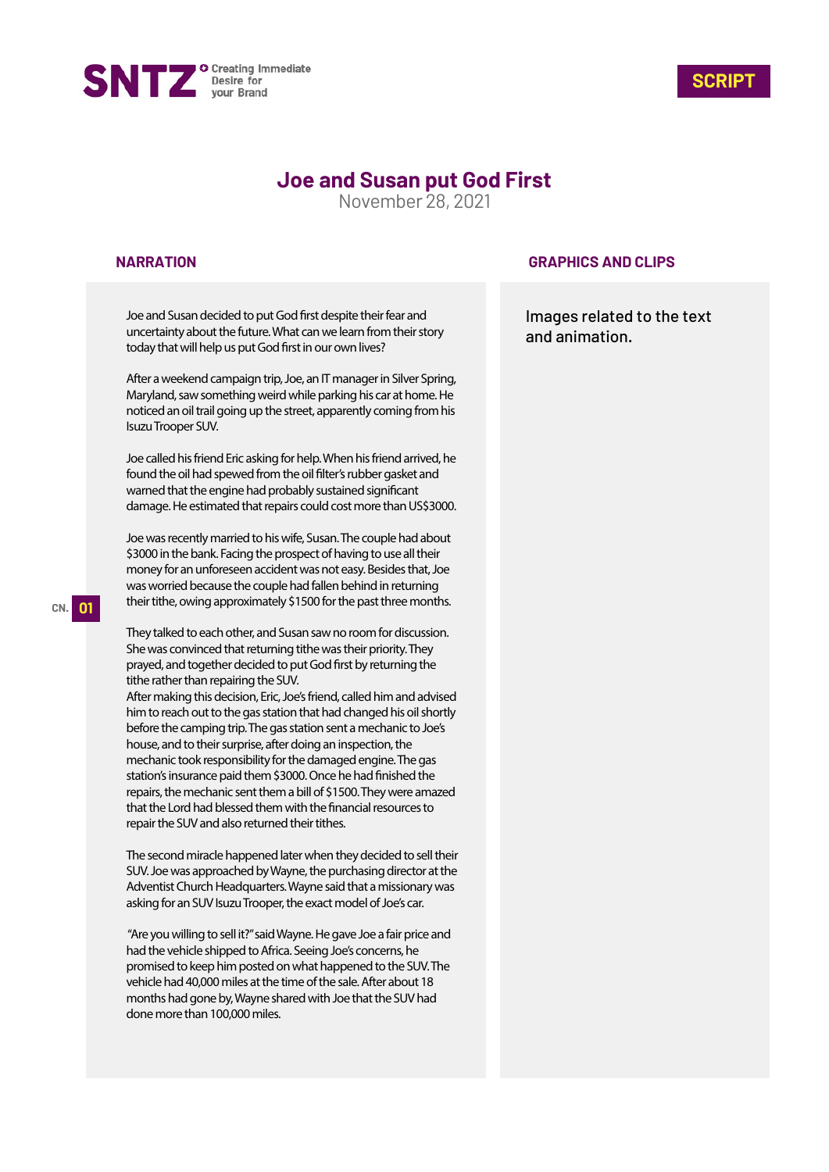



# **Joe and Susan put God First**

November 28, 2021

#### **NARRATION**

Joe and Susan decided to put God first despite their fear and uncertainty about the future. What can we learn from their story today that will help us put God first in our own lives?

After a weekend campaign trip, Joe, an IT manager in Silver Spring, Maryland, saw something weird while parking his car at home. He noticed an oil trail going up the street, apparently coming from his Isuzu Trooper SUV.

Joe called his friend Eric asking for help. When his friend arrived, he found the oil had spewed from the oil filter's rubber gasket and warned that the engine had probably sustained significant damage. He estimated that repairs could cost more than US\$3000.

Joe was recently married to his wife, Susan. The couple had about \$3000 in the bank. Facing the prospect of having to use all their money for an unforeseen accident was not easy. Besides that, Joe was worried because the couple had fallen behind in returning their tithe, owing approximately \$1500 for the past three months.

They talked to each other, and Susan saw no room for discussion. She was convinced that returning tithe was their priority. They prayed, and together decided to put God first by returning the tithe rather than repairing the SUV.

After making this decision, Eric, Joe's friend, called him and advised him to reach out to the gas station that had changed his oil shortly before the camping trip. The gas station sent a mechanic to Joe's house, and to their surprise, after doing an inspection, the mechanic took responsibility for the damaged engine. The gas station's insurance paid them \$3000. Once he had finished the repairs, the mechanic sent them a bill of \$1500. They were amazed that the Lord had blessed them with the financial resources to repair the SUV and also returned their tithes.

The second miracle happened later when they decided to sell their SUV. Joe was approached by Wayne, the purchasing director at the Adventist Church Headquarters. Wayne said that a missionary was asking for an SUV Isuzu Trooper, the exact model of Joe's car.

 "Are you willing to sell it?" said Wayne. He gave Joe a fair price and had the vehicle shipped to Africa. Seeing Joe's concerns, he promised to keep him posted on what happened to the SUV. The vehicle had 40,000 miles at the time of the sale. After about 18 months had gone by, Wayne shared with Joe that the SUV had done more than 100,000 miles.

### **GRAPHICS AND CLIPS**

Images related to the text and animation.